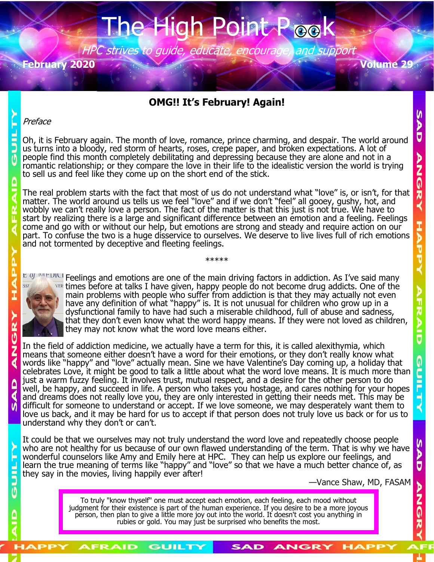## the High

HPC strives to guide, educate, encourage, and support **February 2020 Volume 29**

## **OMG!! It's February! Again!**

## Preface

E

Oh, it is February again. The month of love, romance, prince charming, and despair. The world around us turns into a bloody, red storm of hearts, roses, crepe paper, and broken expectations. A lot of people find this month completely debilitating and depressing because they are alone and not in a romantic relationship; or they compare the love in their life to the idealistic version the world is trying to sell us and feel like they come up on the short end of the stick.

The real problem starts with the fact that most of us do not understand what "love" is, or isn't, for that matter. The world around us tells us we feel "love" and if we don't "feel" all gooey, gushy, hot, and wobbly we can't really love a person. The fact of the matter is that this just is not true. We have to start by realizing there is a large and significant difference between an emotion and a feeling. Feelings come and go with or without our help, but emotions are strong and steady and require action on our part. To confuse the two is a huge disservice to ourselves. We deserve to live lives full of rich emotions and not tormented by deceptive and fleeting feelings.

E OJ WEDICI Feelings and emotions are one of the main driving factors in addiction. As I've said many SSE

\*\*\*\*\*



times before at talks I have given, happy people do not become drug addicts. One of the main problems with people who suffer from addiction is that they may actually not even have any definition of what "happy" is. It is not unusual for children who grow up in a dysfunctional family to have had such a miserable childhood, full of abuse and sadness, that they don't even know what the word happy means. If they were not loved as children, they may not know what the word love means either.

In the field of addiction medicine, we actually have a term for this, it is called alexithymia, which means that someone either doesn't have a word for their emotions, or they don't really know what words like "happy" and "love" actually mean. Sine we have Valentine's Day coming up, a holiday that celebrates Love, it might be good to talk a little about what the word love means. It is much more than just a warm fuzzy feeling. It involves trust, mutual respect, and a desire for the other person to do well, be happy, and succeed in life. A person who takes you hostage, and cares nothing for your hopes and dreams does not really love you, they are only interested in getting their needs met. This may be difficult for someone to understand or accept. If we love someone, we may desperately want them to love us back, and it may be hard for us to accept if that person does not truly love us back or for us to understand why they don't or can't.

It could be that we ourselves may not truly understand the word love and repeatedly choose people who are not healthy for us because of our own flawed understanding of the term. That is why we have wonderful counselors like Amy and Emily here at HPC. They can help us explore our feelings, and learn the true meaning of terms like "happy" and "love" so that we have a much better chance of, as they say in the movies, living happily ever after!

—Vance Shaw, MD, FASAM

To truly "know thyself" one must accept each emotion, each feeling, each mood without judgment for their existence is part of the human experience. If you desire to be a more joyous person, then plan to give a little more joy out into the world. It doesn't cost you anything in rubies or gold. You may just be surprised who benefits the most.

SAD

ANGRY

GUILTY

N D Ū

**NNGR** 

へんじてく

₫

 $\boldsymbol{\mathsf{M}}$